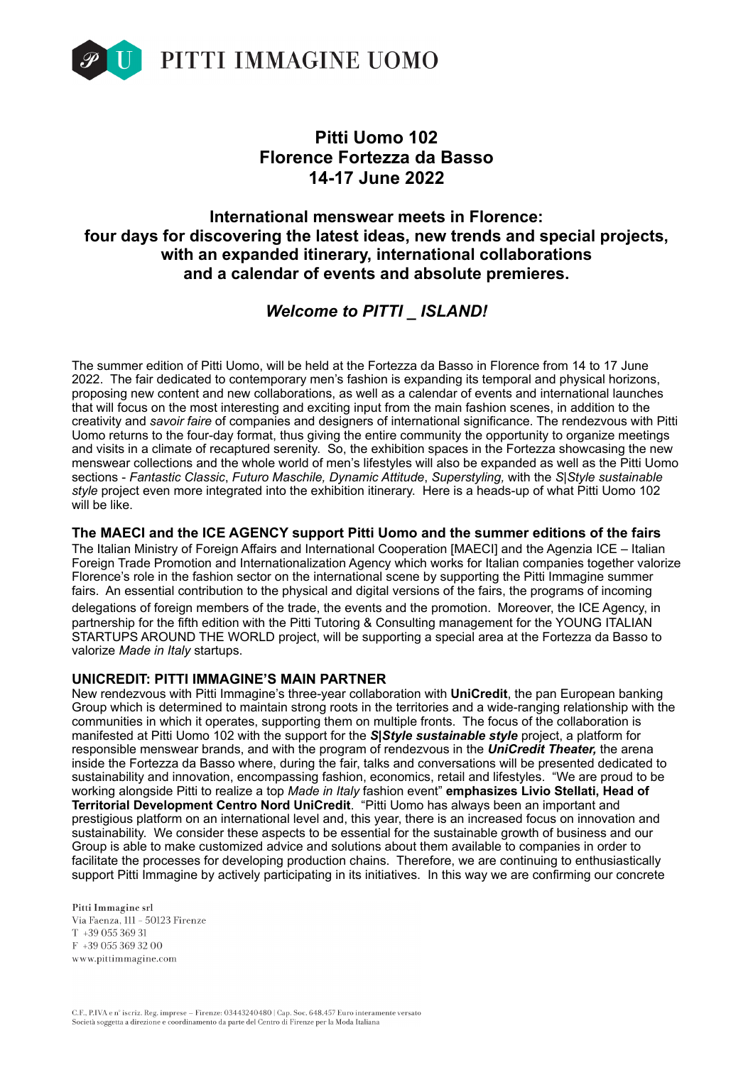

# **Pitti Uomo 102 Florence Fortezza da Basso 14-17 June 2022**

# **International menswear meets in Florence: four days for discovering the latest ideas, new trends and special projects, with an expanded itinerary, international collaborations and a calendar of events and absolute premieres.**

# *Welcome to PITTI \_ ISLAND!*

The summer edition of Pitti Uomo, will be held at the Fortezza da Basso in Florence from 14 to 17 June 2022. The fair dedicated to contemporary men's fashion is expanding its temporal and physical horizons, proposing new content and new collaborations, as well as a calendar of events and international launches that will focus on the most interesting and exciting input from the main fashion scenes, in addition to the creativity and *savoir faire* of companies and designers of international significance. The rendezvous with Pitti Uomo returns to the four-day format, thus giving the entire community the opportunity to organize meetings and visits in a climate of recaptured serenity. So, the exhibition spaces in the Fortezza showcasing the new menswear collections and the whole world of men's lifestyles will also be expanded as well as the Pitti Uomo sections - *Fantastic Classic*, *Futuro Maschile, Dynamic Attitude*, *Superstyling,* with the *S|Style sustainable style* project even more integrated into the exhibition itinerary. Here is a heads-up of what Pitti Uomo 102 will be like.

**The MAECI and the ICE AGENCY support Pitti Uomo and the summer editions of the fairs**  The Italian Ministry of Foreign Affairs and International Cooperation [MAECI] and the Agenzia ICE – Italian Foreign Trade Promotion and Internationalization Agency which works for Italian companies together valorize Florence's role in the fashion sector on the international scene by supporting the Pitti Immagine summer fairs. An essential contribution to the physical and digital versions of the fairs, the programs of incoming delegations of foreign members of the trade, the events and the promotion. Moreover, the ICE Agency, in partnership for the fifth edition with the Pitti Tutoring & Consulting management for the YOUNG ITALIAN STARTUPS AROUND THE WORLD project, will be supporting a special area at the Fortezza da Basso to valorize *Made in Italy* startups.

# **UNICREDIT: PITTI IMMAGINE'S MAIN PARTNER**

New rendezvous with Pitti Immagine's three-year collaboration with **UniCredit**, the pan European banking Group which is determined to maintain strong roots in the territories and a wide-ranging relationship with the communities in which it operates, supporting them on multiple fronts. The focus of the collaboration is manifested at Pitti Uomo 102 with the support for the *S|Style sustainable style* project, a platform for responsible menswear brands, and with the program of rendezvous in the *UniCredit Theater,* the arena inside the Fortezza da Basso where, during the fair, talks and conversations will be presented dedicated to sustainability and innovation, encompassing fashion, economics, retail and lifestyles. "We are proud to be working alongside Pitti to realize a top *Made in Italy* fashion event" **emphasizes Livio Stellati, Head of Territorial Development Centro Nord UniCredit**. "Pitti Uomo has always been an important and prestigious platform on an international level and, this year, there is an increased focus on innovation and sustainability. We consider these aspects to be essential for the sustainable growth of business and our Group is able to make customized advice and solutions about them available to companies in order to facilitate the processes for developing production chains. Therefore, we are continuing to enthusiastically support Pitti Immagine by actively participating in its initiatives. In this way we are confirming our concrete

Pitti Immagine srl Via Faenza, 111 - 50123 Firenze T +39 055 369 31 F +39 055 369 32 00 www.pittimmagine.com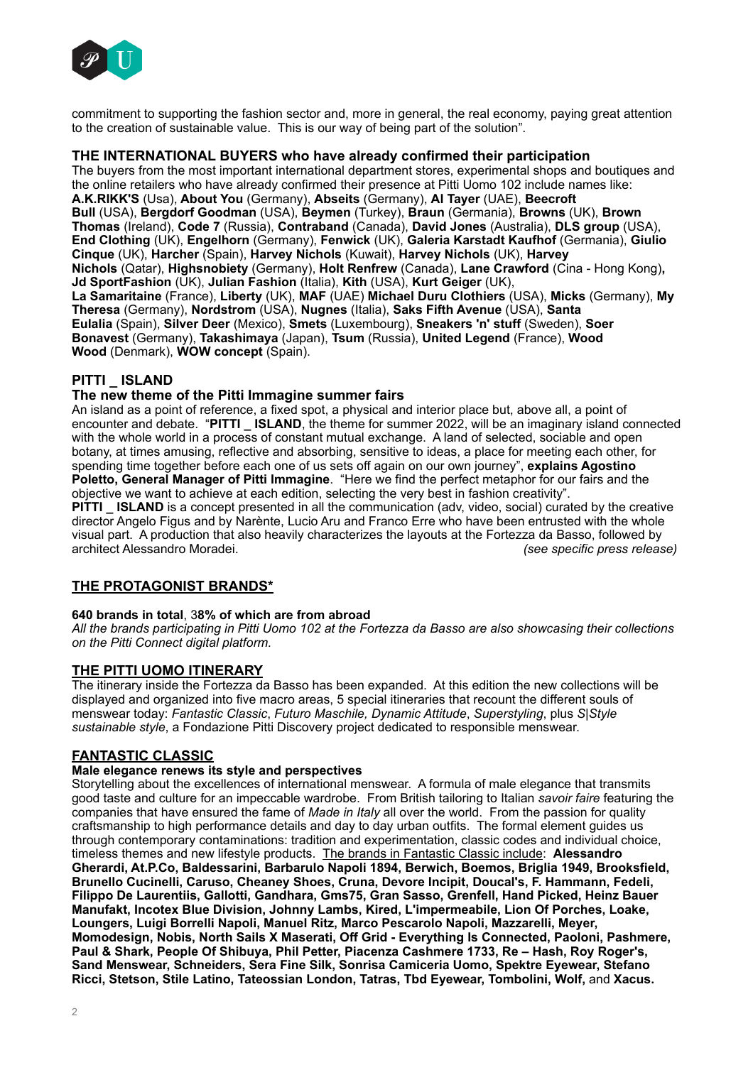

commitment to supporting the fashion sector and, more in general, the real economy, paying great attention to the creation of sustainable value. This is our way of being part of the solution".

### **THE INTERNATIONAL BUYERS who have already confirmed their participation**

The buyers from the most important international department stores, experimental shops and boutiques and the online retailers who have already confirmed their presence at Pitti Uomo 102 include names like: **A.K.RIKK'S** (Usa), **About You** (Germany), **Abseits** (Germany), **Al Tayer** (UAE), **Beecroft Bull** (USA), **Bergdorf Goodman** (USA), **Beymen** (Turkey), **Braun** (Germania), **Browns** (UK), **Brown Thomas** (Ireland), **Code 7** (Russia), **Contraband** (Canada), **David Jones** (Australia), **DLS group** (USA), **End Clothing** (UK), **Engelhorn** (Germany), **Fenwick** (UK), **Galeria Karstadt Kaufhof** (Germania), **Giulio Cinque** (UK), **Harcher** (Spain), **Harvey Nichols** (Kuwait), **Harvey Nichols** (UK), **Harvey Nichols** (Qatar), **Highsnobiety** (Germany), **Holt Renfrew** (Canada), **Lane Crawford** (Cina - Hong Kong)**, Jd SportFashion** (UK), **Julian Fashion** (Italia), **Kith** (USA), **Kurt Geiger** (UK), **La Samaritaine** (France), **Liberty** (UK), **MAF** (UAE) **Michael Duru Clothiers** (USA), **Micks** (Germany), **My Theresa** (Germany), **Nordstrom** (USA), **Nugnes** (Italia), **Saks Fifth Avenue** (USA), **Santa Eulalia** (Spain), **Silver Deer** (Mexico), **Smets** (Luxembourg), **Sneakers 'n' stuff** (Sweden), **Soer Bonavest** (Germany), **Takashimaya** (Japan), **Tsum** (Russia), **United Legend** (France), **Wood Wood** (Denmark), **WOW concept** (Spain).

# **PITTI \_ ISLAND**

#### **The new theme of the Pitti Immagine summer fairs**

An island as a point of reference, a fixed spot, a physical and interior place but, above all, a point of encounter and debate. "**PITTI \_ ISLAND**, the theme for summer 2022, will be an imaginary island connected with the whole world in a process of constant mutual exchange. A land of selected, sociable and open botany, at times amusing, reflective and absorbing, sensitive to ideas, a place for meeting each other, for spending time together before each one of us sets off again on our own journey", **explains Agostino Poletto, General Manager of Pitti Immagine**. "Here we find the perfect metaphor for our fairs and the objective we want to achieve at each edition, selecting the very best in fashion creativity".

**PITTI LISLAND** is a concept presented in all the communication (adv, video, social) curated by the creative director Angelo Figus and by Narènte, Lucio Aru and Franco Erre who have been entrusted with the whole visual part. A production that also heavily characterizes the layouts at the Fortezza da Basso, followed by architect Alessandro Moradei. *(see specific press release)*

# **THE PROTAGONIST BRANDS\***

#### **640 brands in total**, 3**8% of which are from abroad**

*All the brands participating in Pitti Uomo 102 at the Fortezza da Basso are also showcasing their collections on the Pitti Connect digital platform.*

# **THE PITTI UOMO ITINERARY**

The itinerary inside the Fortezza da Basso has been expanded. At this edition the new collections will be displayed and organized into five macro areas, 5 special itineraries that recount the different souls of menswear today: *Fantastic Classic*, *Futuro Maschile, Dynamic Attitude*, *Superstyling*, plus *S|Style sustainable style*, a Fondazione Pitti Discovery project dedicated to responsible menswear.

# **FANTASTIC CLASSIC**

#### **Male elegance renews its style and perspectives**

Storytelling about the excellences of international menswear. A formula of male elegance that transmits good taste and culture for an impeccable wardrobe. From British tailoring to Italian *savoir faire* featuring the companies that have ensured the fame of *Made in Italy* all over the world. From the passion for quality craftsmanship to high performance details and day to day urban outfits. The formal element guides us through contemporary contaminations: tradition and experimentation, classic codes and individual choice, timeless themes and new lifestyle products. The brands in Fantastic Classic include: **Alessandro Gherardi, At.P.Co, Baldessarini, Barbarulo Napoli 1894, Berwich, Boemos, Briglia 1949, Brooksfield, Brunello Cucinelli, Caruso, Cheaney Shoes, Cruna, Devore Incipit, Doucal's, F. Hammann, Fedeli, Filippo De Laurentiis, Gallotti, Gandhara, Gms75, Gran Sasso, Grenfell, Hand Picked, Heinz Bauer Manufakt, Incotex Blue Division, Johnny Lambs, Kired, L'impermeabile, Lion Of Porches, Loake, Loungers, Luigi Borrelli Napoli, Manuel Ritz, Marco Pescarolo Napoli, Mazzarelli, Meyer, Momodesign, Nobis, North Sails X Maserati, Off Grid - Everything Is Connected, Paoloni, Pashmere, Paul & Shark, People Of Shibuya, Phil Petter, Piacenza Cashmere 1733, Re – Hash, Roy Roger's, Sand Menswear, Schneiders, Sera Fine Silk, Sonrisa Camiceria Uomo, Spektre Eyewear, Stefano Ricci, Stetson, Stile Latino, Tateossian London, Tatras, Tbd Eyewear, Tombolini, Wolf,** and **Xacus.**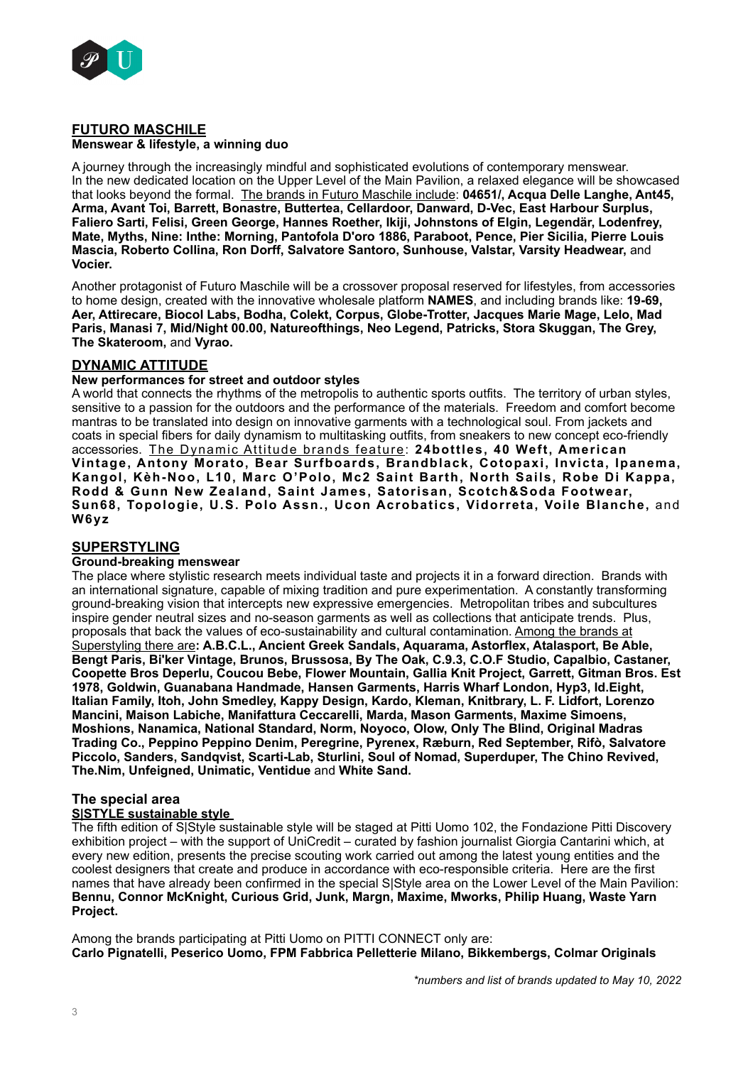

#### **FUTURO MASCHILE Menswear & lifestyle, a winning duo**

A journey through the increasingly mindful and sophisticated evolutions of contemporary menswear. In the new dedicated location on the Upper Level of the Main Pavilion, a relaxed elegance will be showcased that looks beyond the formal. The brands in Futuro Maschile include: **04651/, Acqua Delle Langhe, Ant45, Arma, Avant Toi, Barrett, Bonastre, Buttertea, Cellardoor, Danward, D-Vec, East Harbour Surplus, Faliero Sarti, Felisi, Green George, Hannes Roether, Ikiji, Johnstons of Elgin, Legendär, Lodenfrey, Mate, Myths, Nine: Inthe: Morning, Pantofola D'oro 1886, Paraboot, Pence, Pier Sicilia, Pierre Louis Mascia, Roberto Collina, Ron Dorff, Salvatore Santoro, Sunhouse, Valstar, Varsity Headwear,** and **Vocier.**

Another protagonist of Futuro Maschile will be a crossover proposal reserved for lifestyles, from accessories to home design, created with the innovative wholesale platform **NAMES**, and including brands like: **19-69, Aer, Attirecare, Biocol Labs, Bodha, Colekt, Corpus, Globe-Trotter, Jacques Marie Mage, Lelo, Mad Paris, Manasi 7, Mid/Night 00.00, Natureofthings, Neo Legend, Patricks, Stora Skuggan, The Grey, The Skateroom,** and **Vyrao.** 

# **DYNAMIC ATTITUDE**

# **New performances for street and outdoor styles**

A world that connects the rhythms of the metropolis to authentic sports outfits. The territory of urban styles, sensitive to a passion for the outdoors and the performance of the materials. Freedom and comfort become mantras to be translated into design on innovative garments with a technological soul. From jackets and coats in special fibers for daily dynamism to multitasking outfits, from sneakers to new concept eco-friendly accessories. The Dynamic Attitude brands feature: **24bottles, 40 Weft, American Vintage, Antony Morato, Bear Surfboards, Brandblack, Cotopaxi, Invicta, Ipanema, Kangol, Kèh-Noo, L10, Marc O'Polo, Mc2 Saint Barth, North Sails, Robe Di Kappa, Rodd & Gunn New Zealand, Saint James, Satorisan, Scotch&Soda Footwear, Sun68, Topologie, U.S. Polo Assn., Ucon Acrobatics, Vidorreta, Voile Blanche,** and **W6yz** 

# **SUPERSTYLING**

# **Ground-breaking menswear**

The place where stylistic research meets individual taste and projects it in a forward direction. Brands with an international signature, capable of mixing tradition and pure experimentation. A constantly transforming ground-breaking vision that intercepts new expressive emergencies. Metropolitan tribes and subcultures inspire gender neutral sizes and no-season garments as well as collections that anticipate trends. Plus, proposals that back the values of eco-sustainability and cultural contamination. Among the brands at Superstyling there are**: A.B.C.L., Ancient Greek Sandals, Aquarama, Astorflex, Atalasport, Be Able, Bengt Paris, Bi'ker Vintage, Brunos, Brussosa, By The Oak, C.9.3, C.O.F Studio, Capalbio, Castaner, Coopette Bros Deperlu, Coucou Bebe, Flower Mountain, Gallia Knit Project, Garrett, Gitman Bros. Est 1978, Goldwin, Guanabana Handmade, Hansen Garments, Harris Wharf London, Hyp3, Id.Eight, Italian Family, Itoh, John Smedley, Kappy Design, Kardo, Kleman, Knitbrary, L. F. Lidfort, Lorenzo Mancini, Maison Labiche, Manifattura Ceccarelli, Marda, Mason Garments, Maxime Simoens, Moshions, Nanamica, National Standard, Norm, Noyoco, Olow, Only The Blind, Original Madras Trading Co., Peppino Peppino Denim, Peregrine, Pyrenex, Ræburn, Red September, Rifò, Salvatore Piccolo, Sanders, Sandqvist, Scarti-Lab, Sturlini, Soul of Nomad, Superduper, The Chino Revived, The.Nim, Unfeigned, Unimatic, Ventidue** and **White Sand.**

# **The special area**

### **S|STYLE sustainable style**

The fifth edition of S|Style sustainable style will be staged at Pitti Uomo 102, the Fondazione Pitti Discoverv exhibition project – with the support of UniCredit – curated by fashion journalist Giorgia Cantarini which, at every new edition, presents the precise scouting work carried out among the latest young entities and the coolest designers that create and produce in accordance with eco-responsible criteria. Here are the first names that have already been confirmed in the special S|Style area on the Lower Level of the Main Pavilion: **Bennu, Connor McKnight, Curious Grid, Junk, Margn, Maxime, Mworks, Philip Huang, Waste Yarn Project.**

Among the brands participating at Pitti Uomo on PITTI CONNECT only are: **Carlo Pignatelli, Peserico Uomo, FPM Fabbrica Pelletterie Milano, Bikkembergs, Colmar Originals**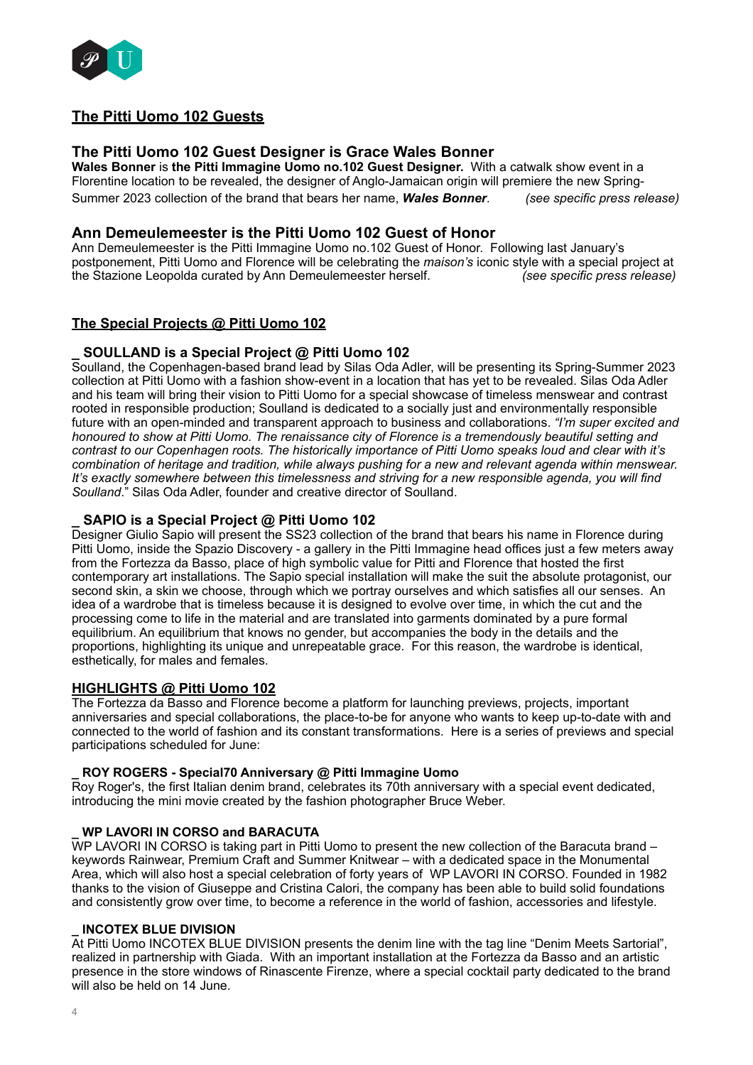

# **The Pitti Uomo 102 Guests**

# **The Pitti Uomo 102 Guest Designer is Grace Wales Bonner**

**Wales Bonner** is **the Pitti Immagine Uomo no.102 Guest Designer.** With a catwalk show event in a Florentine location to be revealed, the designer of Anglo-Jamaican origin will premiere the new Spring-Summer 2023 collection of the brand that bears her name, *Wales Bonner*. *(see specific press release)*

# **Ann Demeulemeester is the Pitti Uomo 102 Guest of Honor**

Ann Demeulemeester is the Pitti Immagine Uomo no.102 Guest of Honor. Following last January's postponement, Pitti Uomo and Florence will be celebrating the *maison's* iconic style with a special project at the Stazione Leopolda curated by Ann Demeulemeester herself. *(see specific press release)*

# **The Special Projects @ Pitti Uomo 102**

# **\_ SOULLAND is a Special Project @ Pitti Uomo 102**

Soulland, the Copenhagen-based brand lead by Silas Oda Adler, will be presenting its Spring-Summer 2023 collection at Pitti Uomo with a fashion show-event in a location that has yet to be revealed. Silas Oda Adler and his team will bring their vision to Pitti Uomo for a special showcase of timeless menswear and contrast rooted in responsible production; Soulland is dedicated to a socially just and environmentally responsible future with an open-minded and transparent approach to business and collaborations. *"I'm super excited and honoured to show at Pitti Uomo. The renaissance city of Florence is a tremendously beautiful setting and contrast to our Copenhagen roots. The historically importance of Pitti Uomo speaks loud and clear with it's combination of heritage and tradition, while always pushing for a new and relevant agenda within menswear. It's exactly somewhere between this timelessness and striving for a new responsible agenda, you will find Soulland*." Silas Oda Adler, founder and creative director of Soulland.

# **\_ SAPIO is a Special Project @ Pitti Uomo 102**

Designer Giulio Sapio will present the SS23 collection of the brand that bears his name in Florence during Pitti Uomo, inside the Spazio Discovery - a gallery in the Pitti Immagine head offices just a few meters away from the Fortezza da Basso, place of high symbolic value for Pitti and Florence that hosted the first contemporary art installations. The Sapio special installation will make the suit the absolute protagonist, our second skin, a skin we choose, through which we portray ourselves and which satisfies all our senses. An idea of a wardrobe that is timeless because it is designed to evolve over time, in which the cut and the processing come to life in the material and are translated into garments dominated by a pure formal equilibrium. An equilibrium that knows no gender, but accompanies the body in the details and the proportions, highlighting its unique and unrepeatable grace. For this reason, the wardrobe is identical, esthetically, for males and females.

# **HIGHLIGHTS @ Pitti Uomo 102**

The Fortezza da Basso and Florence become a platform for launching previews, projects, important anniversaries and special collaborations, the place-to-be for anyone who wants to keep up-to-date with and connected to the world of fashion and its constant transformations. Here is a series of previews and special participations scheduled for June:

# **\_ ROY ROGERS - Special70 Anniversary @ Pitti Immagine Uomo**

Roy Roger's, the first Italian denim brand, celebrates its 70th anniversary with a special event dedicated, introducing the mini movie created by the fashion photographer Bruce Weber.

# **\_ WP LAVORI IN CORSO and BARACUTA**

WP LAVORI IN CORSO is taking part in Pitti Uomo to present the new collection of the Baracuta brand – keywords Rainwear, Premium Craft and Summer Knitwear – with a dedicated space in the Monumental Area, which will also host a special celebration of forty years of WP LAVORI IN CORSO. Founded in 1982 thanks to the vision of Giuseppe and Cristina Calori, the company has been able to build solid foundations and consistently grow over time, to become a reference in the world of fashion, accessories and lifestyle.

#### **\_ INCOTEX BLUE DIVISION**

At Pitti Uomo INCOTEX BLUE DIVISION presents the denim line with the tag line "Denim Meets Sartorial", realized in partnership with Giada. With an important installation at the Fortezza da Basso and an artistic presence in the store windows of Rinascente Firenze, where a special cocktail party dedicated to the brand will also be held on 14 June.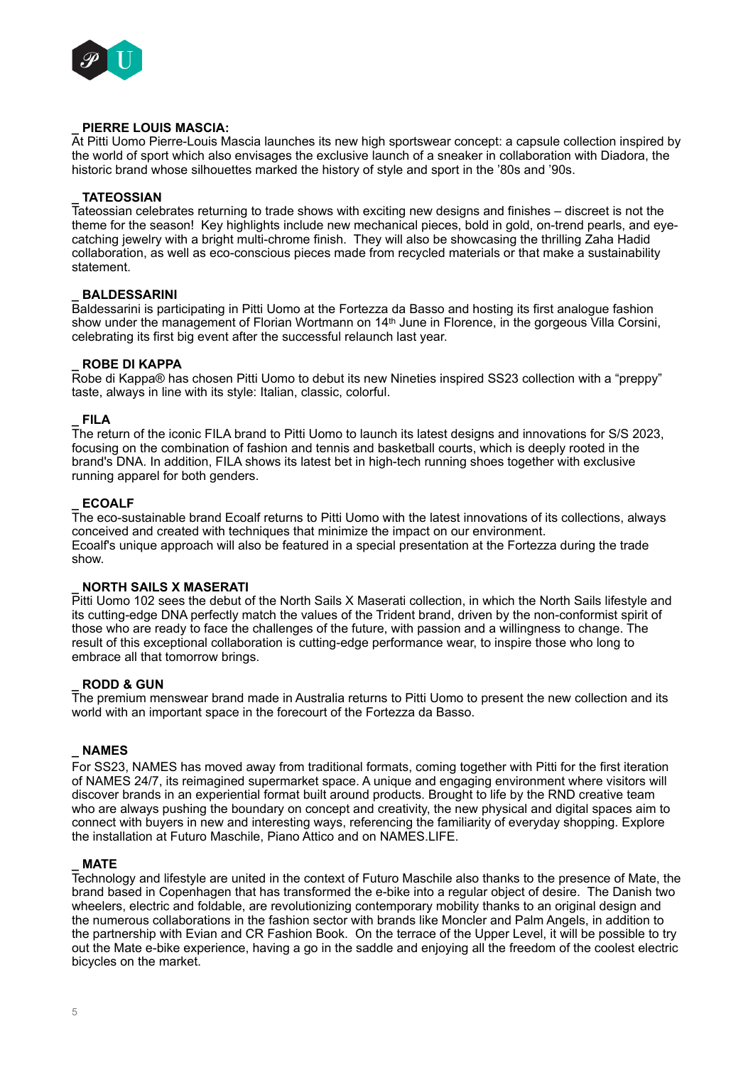

# **\_ PIERRE LOUIS MASCIA:**

At Pitti Uomo Pierre-Louis Mascia launches its new high sportswear concept: a capsule collection inspired by the world of sport which also envisages the exclusive launch of a sneaker in collaboration with Diadora, the historic brand whose silhouettes marked the history of style and sport in the '80s and '90s.

#### **\_ TATEOSSIAN**

Tateossian celebrates returning to trade shows with exciting new designs and finishes – discreet is not the theme for the season! Key highlights include new mechanical pieces, bold in gold, on-trend pearls, and eyecatching jewelry with a bright multi-chrome finish. They will also be showcasing the thrilling Zaha Hadid collaboration, as well as eco-conscious pieces made from recycled materials or that make a sustainability statement.

#### **\_ BALDESSARINI**

Baldessarini is participating in Pitti Uomo at the Fortezza da Basso and hosting its first analogue fashion show under the management of Florian Wortmann on 14<sup>th</sup> June in Florence, in the gorgeous Villa Corsini, celebrating its first big event after the successful relaunch last year.

### **\_ ROBE DI KAPPA**

Robe di Kappa® has chosen Pitti Uomo to debut its new Nineties inspired SS23 collection with a "preppy" taste, always in line with its style: Italian, classic, colorful.

#### **\_ FILA**

The return of the iconic FILA brand to Pitti Uomo to launch its latest designs and innovations for S/S 2023, focusing on the combination of fashion and tennis and basketball courts, which is deeply rooted in the brand's DNA. In addition, FILA shows its latest bet in high-tech running shoes together with exclusive running apparel for both genders.

### **\_ ECOALF**

The eco-sustainable brand Ecoalf returns to Pitti Uomo with the latest innovations of its collections, always conceived and created with techniques that minimize the impact on our environment. Ecoalf's unique approach will also be featured in a special presentation at the Fortezza during the trade show.

#### **\_ NORTH SAILS X MASERATI**

Pitti Uomo 102 sees the debut of the North Sails X Maserati collection, in which the North Sails lifestyle and its cutting-edge DNA perfectly match the values of the Trident brand, driven by the non-conformist spirit of those who are ready to face the challenges of the future, with passion and a willingness to change. The result of this exceptional collaboration is cutting-edge performance wear, to inspire those who long to embrace all that tomorrow brings.

# **\_ RODD & GUN**

The premium menswear brand made in Australia returns to Pitti Uomo to present the new collection and its world with an important space in the forecourt of the Fortezza da Basso.

# **\_ NAMES**

For SS23, NAMES has moved away from traditional formats, coming together with Pitti for the first iteration of NAMES 24/7, its reimagined supermarket space. A unique and engaging environment where visitors will discover brands in an experiential format built around products. Brought to life by the RND creative team who are always pushing the boundary on concept and creativity, the new physical and digital spaces aim to connect with buyers in new and interesting ways, referencing the familiarity of everyday shopping. Explore the installation at Futuro Maschile, Piano Attico and on NAMES.LIFE.

### **\_ MATE**

Technology and lifestyle are united in the context of Futuro Maschile also thanks to the presence of Mate, the brand based in Copenhagen that has transformed the e-bike into a regular object of desire. The Danish two wheelers, electric and foldable, are revolutionizing contemporary mobility thanks to an original design and the numerous collaborations in the fashion sector with brands like Moncler and Palm Angels, in addition to the partnership with Evian and CR Fashion Book. On the terrace of the Upper Level, it will be possible to try out the Mate e-bike experience, having a go in the saddle and enjoying all the freedom of the coolest electric bicycles on the market.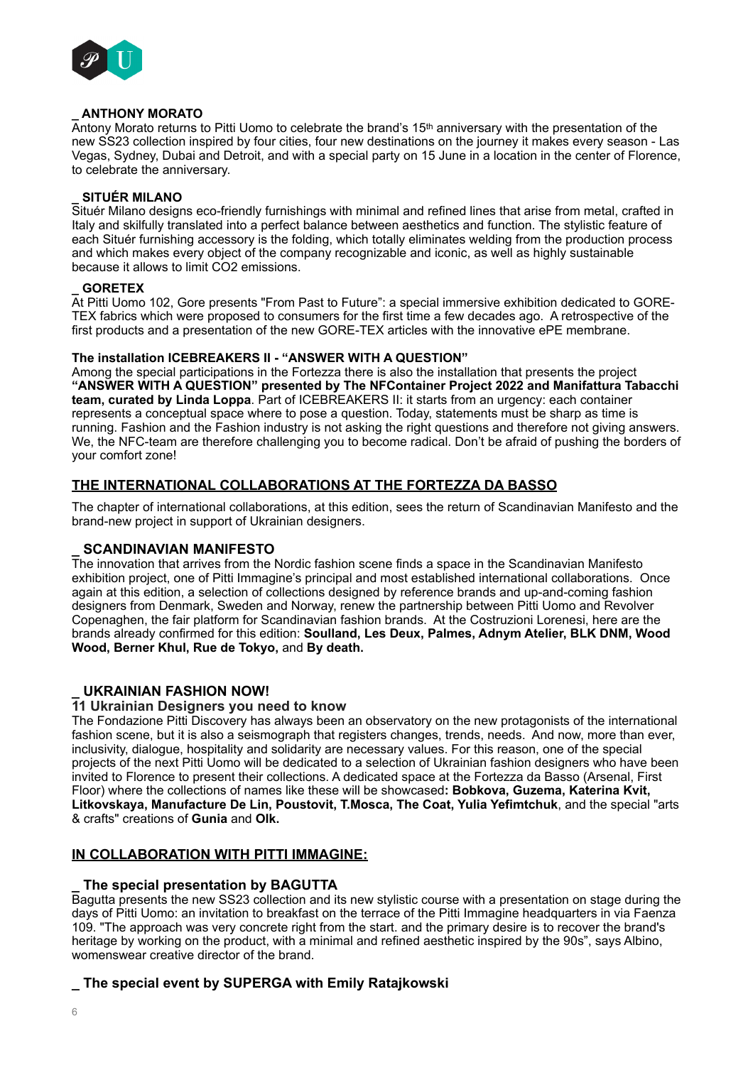

# **\_ ANTHONY MORATO**

Antony Morato returns to Pitti Uomo to celebrate the brand's 15th anniversary with the presentation of the new SS23 collection inspired by four cities, four new destinations on the journey it makes every season - Las Vegas, Sydney, Dubai and Detroit, and with a special party on 15 June in a location in the center of Florence, to celebrate the anniversary.

# **\_ SITUÉR MILANO**

Situér Milano designs eco-friendly furnishings with minimal and refined lines that arise from metal, crafted in Italy and skilfully translated into a perfect balance between aesthetics and function. The stylistic feature of each Situér furnishing accessory is the folding, which totally eliminates welding from the production process and which makes every object of the company recognizable and iconic, as well as highly sustainable because it allows to limit CO2 emissions.

# **\_ GORETEX**

At Pitti Uomo 102, Gore presents "From Past to Future": a special immersive exhibition dedicated to GORE-TEX fabrics which were proposed to consumers for the first time a few decades ago. A retrospective of the first products and a presentation of the new GORE-TEX articles with the innovative ePE membrane.

# **The installation ICEBREAKERS II - "ANSWER WITH A QUESTION"**

Among the special participations in the Fortezza there is also the installation that presents the project **"ANSWER WITH A QUESTION" presented by The NFContainer Project 2022 and Manifattura Tabacchi team, curated by Linda Loppa**. Part of ICEBREAKERS II: it starts from an urgency: each container represents a conceptual space where to pose a question. Today, statements must be sharp as time is running. Fashion and the Fashion industry is not asking the right questions and therefore not giving answers. We, the NFC-team are therefore challenging you to become radical. Don't be afraid of pushing the borders of your comfort zone!

# **THE INTERNATIONAL COLLABORATIONS AT THE FORTEZZA DA BASSO**

The chapter of international collaborations, at this edition, sees the return of Scandinavian Manifesto and the brand-new project in support of Ukrainian designers.

# **\_ SCANDINAVIAN MANIFESTO**

The innovation that arrives from the Nordic fashion scene finds a space in the Scandinavian Manifesto exhibition project, one of Pitti Immagine's principal and most established international collaborations. Once again at this edition, a selection of collections designed by reference brands and up-and-coming fashion designers from Denmark, Sweden and Norway, renew the partnership between Pitti Uomo and Revolver Copenaghen, the fair platform for Scandinavian fashion brands. At the Costruzioni Lorenesi, here are the brands already confirmed for this edition: **Soulland, Les Deux, Palmes, Adnym Atelier, BLK DNM, Wood Wood, Berner Khul, Rue de Tokyo,** and **By death.**

# **\_ UKRAINIAN FASHION NOW!**

# **11 Ukrainian Designers you need to know**

The Fondazione Pitti Discovery has always been an observatory on the new protagonists of the international fashion scene, but it is also a seismograph that registers changes, trends, needs. And now, more than ever, inclusivity, dialogue, hospitality and solidarity are necessary values. For this reason, one of the special projects of the next Pitti Uomo will be dedicated to a selection of Ukrainian fashion designers who have been invited to Florence to present their collections. A dedicated space at the Fortezza da Basso (Arsenal, First Floor) where the collections of names like these will be showcased**: Bobkova, Guzema, Katerina Kvit, Litkovskaya, Manufacture De Lin, Poustovit, T.Mosca, The Coat, Yulia Yefimtchuk**, and the special "arts & crafts" creations of **Gunia** and **Olk.**

# **IN COLLABORATION WITH PITTI IMMAGINE:**

# **\_ The special presentation by BAGUTTA**

Bagutta presents the new SS23 collection and its new stylistic course with a presentation on stage during the days of Pitti Uomo: an invitation to breakfast on the terrace of the Pitti Immagine headquarters in via Faenza 109. "The approach was very concrete right from the start. and the primary desire is to recover the brand's heritage by working on the product, with a minimal and refined aesthetic inspired by the 90s", says Albino, womenswear creative director of the brand.

# **\_ The special event by SUPERGA with Emily Ratajkowski**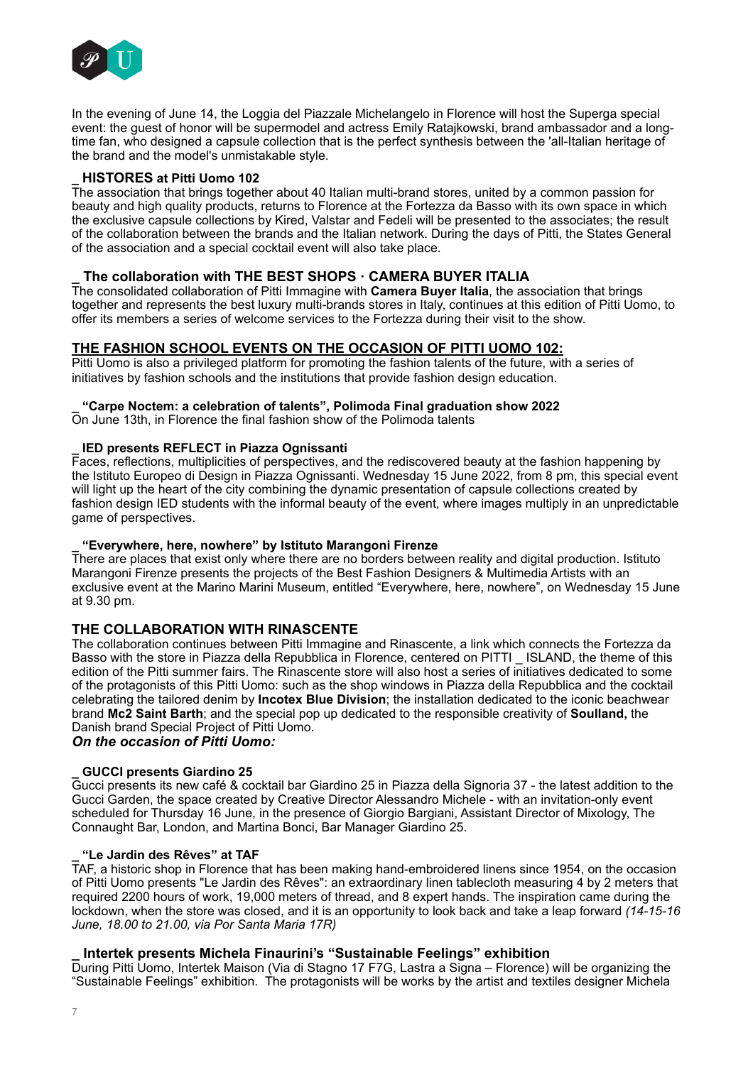

In the evening of June 14, the Loggia del Piazzale Michelangelo in Florence will host the Superga special event: the guest of honor will be supermodel and actress Emily Ratajkowski, brand ambassador and a longtime fan, who designed a capsule collection that is the perfect synthesis between the 'all-Italian heritage of the brand and the model's unmistakable style.

# **\_ HISTORES at Pitti Uomo 102**

The association that brings together about 40 Italian multi-brand stores, united by a common passion for beauty and high quality products, returns to Florence at the Fortezza da Basso with its own space in which the exclusive capsule collections by Kired, Valstar and Fedeli will be presented to the associates; the result of the collaboration between the brands and the Italian network. During the days of Pitti, the States General of the association and a special cocktail event will also take place.

# **\_ The collaboration with THE BEST SHOPS · CAMERA BUYER ITALIA**

The consolidated collaboration of Pitti Immagine with **Camera Buyer Italia**, the association that brings together and represents the best luxury multi-brands stores in Italy, continues at this edition of Pitti Uomo, to offer its members a series of welcome services to the Fortezza during their visit to the show.

# **THE FASHION SCHOOL EVENTS ON THE OCCASION OF PITTI UOMO 102:**

Pitti Uomo is also a privileged platform for promoting the fashion talents of the future, with a series of initiatives by fashion schools and the institutions that provide fashion design education.

#### **\_ "Carpe Noctem: a celebration of talents", Polimoda Final graduation show 2022**

On June 13th, in Florence the final fashion show of the Polimoda talents

### **\_ IED presents REFLECT in Piazza Ognissanti**

Faces, reflections, multiplicities of perspectives, and the rediscovered beauty at the fashion happening by the Istituto Europeo di Design in Piazza Ognissanti. Wednesday 15 June 2022, from 8 pm, this special event will light up the heart of the city combining the dynamic presentation of capsule collections created by fashion design IED students with the informal beauty of the event, where images multiply in an unpredictable game of perspectives.

#### **\_ "Everywhere, here, nowhere" by Istituto Marangoni Firenze**

There are places that exist only where there are no borders between reality and digital production. Istituto Marangoni Firenze presents the projects of the Best Fashion Designers & Multimedia Artists with an exclusive event at the Marino Marini Museum, entitled "Everywhere, here, nowhere", on Wednesday 15 June at 9.30 pm.

# **THE COLLABORATION WITH RINASCENTE**

The collaboration continues between Pitti Immagine and Rinascente, a link which connects the Fortezza da Basso with the store in Piazza della Repubblica in Florence, centered on PITTI \_ ISLAND, the theme of this edition of the Pitti summer fairs. The Rinascente store will also host a series of initiatives dedicated to some of the protagonists of this Pitti Uomo: such as the shop windows in Piazza della Repubblica and the cocktail celebrating the tailored denim by **Incotex Blue Division**; the installation dedicated to the iconic beachwear brand **Mc2 Saint Barth**; and the special pop up dedicated to the responsible creativity of **Soulland,** the Danish brand Special Project of Pitti Uomo.

*On the occasion of Pitti Uomo:*

# **\_ GUCCI presents Giardino 25**

Gucci presents its new café & cocktail bar Giardino 25 in Piazza della Signoria 37 - the latest addition to the Gucci Garden, the space created by Creative Director Alessandro Michele - with an invitation-only event scheduled for Thursday 16 June, in the presence of Giorgio Bargiani, Assistant Director of Mixology, The Connaught Bar, London, and Martina Bonci, Bar Manager Giardino 25.

#### **\_ "Le Jardin des Rêves" at TAF**

TAF, a historic shop in Florence that has been making hand-embroidered linens since 1954, on the occasion of Pitti Uomo presents "Le Jardin des Rêves": an extraordinary linen tablecloth measuring 4 by 2 meters that required 2200 hours of work, 19,000 meters of thread, and 8 expert hands. The inspiration came during the lockdown, when the store was closed, and it is an opportunity to look back and take a leap forward *(14-15-16 June, 18.00 to 21.00, via Por Santa Maria 17R)* 

# **\_ Intertek presents Michela Finaurini's "Sustainable Feelings" exhibition**

During Pitti Uomo, Intertek Maison (Via di Stagno 17 F7G, Lastra a Signa – Florence) will be organizing the "Sustainable Feelings" exhibition. The protagonists will be works by the artist and textiles designer Michela